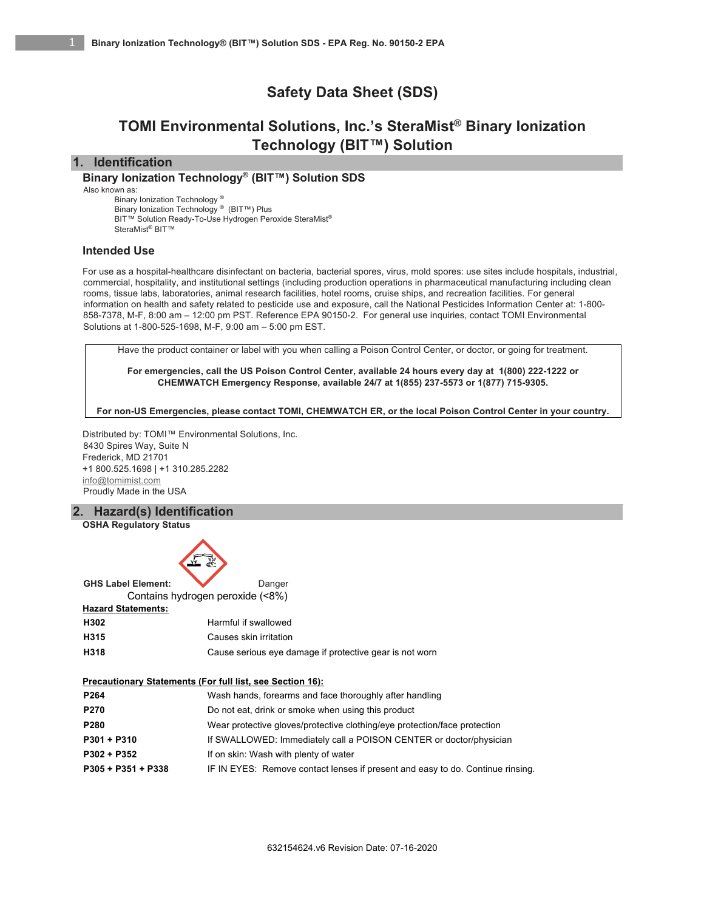# **Safety Data Sheet (SDS)**

# **TOMI Environmental Solutions, Inc.'s SteraMist® Binary Ionization Technology (BIT™) Solution**

# **1. Identification**

**Binary Ionization Technology® (BIT™) Solution SDS**

Also known as:

Binary Ionization Technology ® Binary Ionization Technology ® (BIT™) Plus BIT™ Solution Ready-To-Use Hydrogen Peroxide SteraMist® SteraMist® BIT™

# **Intended Use**

For use as a hospital-healthcare disinfectant on bacteria, bacterial spores, virus, mold spores: use sites include hospitals, industrial, commercial, hospitality, and institutional settings (including production operations in pharmaceutical manufacturing including clean rooms, tissue labs, laboratories, animal research facilities, hotel rooms, cruise ships, and recreation facilities. For general information on health and safety related to pesticide use and exposure, call the National Pesticides Information Center at: 1-800- 858-7378, M-F, 8:00 am – 12:00 pm PST. Reference EPA 90150-2. For general use inquiries, contact TOMI Environmental Solutions at 1-800-525-1698, M-F, 9:00 am – 5:00 pm EST.

Have the product container or label with you when calling a Poison Control Center, or doctor, or going for treatment.

**For emergencies, call the US Poison Control Center, available 24 hours every day at 1(800) 222-1222 or CHEMWATCH Emergency Response, available 24/7 at 1(855) 237-5573 or 1(877) 715-9305.**

**For non-US Emergencies, please contact TOMI, CHEMWATCH ER, or the local Poison Control Center in your country.** 

Distributed by: TOMI™ Environmental Solutions, Inc. 8430 Spires Way, Suite N Frederick, MD 21701 +1 800.525.1698 | +1 310.285.2282 info@tomimist.com Proudly Made in the USA

# **2. Hazard(s) Identification**





| P <sub>264</sub>     | Wash hands, forearms and face thoroughly after handling                        |
|----------------------|--------------------------------------------------------------------------------|
| <b>P270</b>          | Do not eat, drink or smoke when using this product                             |
| P280                 | Wear protective gloves/protective clothing/eye protection/face protection      |
| $P301 + P310$        | If SWALLOWED: Immediately call a POISON CENTER or doctor/physician             |
| P302 + P352          | If on skin: Wash with plenty of water                                          |
| $P305 + P351 + P338$ | IF IN EYES: Remove contact lenses if present and easy to do. Continue rinsing. |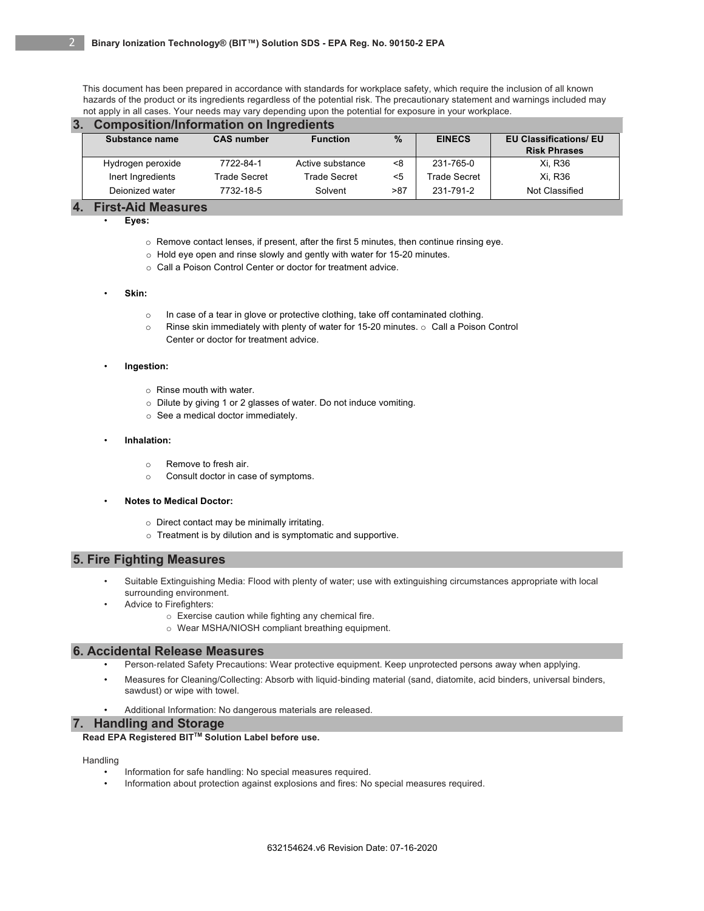This document has been prepared in accordance with standards for workplace safety, which require the inclusion of all known hazards of the product or its ingredients regardless of the potential risk. The precautionary statement and warnings included may not apply in all cases. Your needs may vary depending upon the potential for exposure in your workplace.

## **3. Composition/Information on Ingredients**

| Substance name    | <b>CAS number</b> | $\%$<br><b>Function</b> |     | <b>EINECS</b> | <b>EU Classifications/ EU</b><br><b>Risk Phrases</b> |  |  |
|-------------------|-------------------|-------------------------|-----|---------------|------------------------------------------------------|--|--|
| Hydrogen peroxide | 7722-84-1         | Active substance        | <8  | 231-765-0     | Xi, R36                                              |  |  |
| Inert Ingredients | Trade Secret      | <b>Trade Secret</b>     | <5  | Trade Secret  | Xi. R36                                              |  |  |
| Dejonized water   | 7732-18-5         | Solvent                 | >87 | 231-791-2     | Not Classified                                       |  |  |
|                   |                   |                         |     |               |                                                      |  |  |

## **4. First-Aid Measures**

• **Eyes:**

- o Remove contact lenses, if present, after the first 5 minutes, then continue rinsing eye.
- o Hold eye open and rinse slowly and gently with water for 15-20 minutes.
- o Call a Poison Control Center or doctor for treatment advice.

#### • **Skin:**

- o In case of a tear in glove or protective clothing, take off contaminated clothing.
- $\circ$  Rinse skin immediately with plenty of water for 15-20 minutes.  $\circ$  Call a Poison Control Center or doctor for treatment advice.

## • **Ingestion:**

- o Rinse mouth with water.
- o Dilute by giving 1 or 2 glasses of water. Do not induce vomiting.
- o See a medical doctor immediately.

## • **Inhalation:**

- o Remove to fresh air.
- o Consult doctor in case of symptoms.

## • **Notes to Medical Doctor:**

- o Direct contact may be minimally irritating.
- o Treatment is by dilution and is symptomatic and supportive.

# **5. Fire Fighting Measures**

- Suitable Extinguishing Media: Flood with plenty of water; use with extinguishing circumstances appropriate with local surrounding environment.
- Advice to Firefighters:
	- o Exercise caution while fighting any chemical fire.
	- o Wear MSHA/NIOSH compliant breathing equipment.

# **6. Accidental Release Measures**

- Person-related Safety Precautions: Wear protective equipment. Keep unprotected persons away when applying.
- Measures for Cleaning/Collecting: Absorb with liquid-binding material (sand, diatomite, acid binders, universal binders, sawdust) or wipe with towel.
- Additional Information: No dangerous materials are released.

# **7. Handling and Storage**

**Read EPA Registered BITTM Solution Label before use.**

# Handling

- Information for safe handling: No special measures required.
- Information about protection against explosions and fires: No special measures required.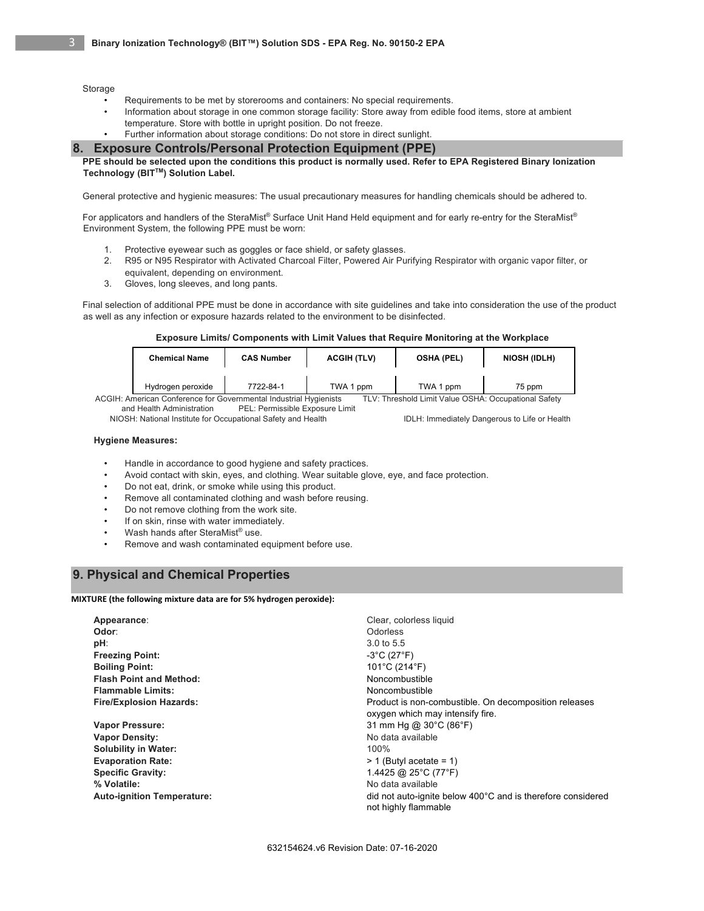Storage

- Requirements to be met by storerooms and containers: No special requirements.
- Information about storage in one common storage facility: Store away from edible food items, store at ambient temperature. Store with bottle in upright position. Do not freeze. Further information about storage conditions: Do not store in direct sunlight.

## **8. Exposure Controls/Personal Protection Equipment (PPE)**

**PPE should be selected upon the conditions this product is normally used. Refer to EPA Registered Binary Ionization Technology (BIT™) Solution Label.** 

General protective and hygienic measures: The usual precautionary measures for handling chemicals should be adhered to.

For applicators and handlers of the SteraMist® Surface Unit Hand Held equipment and for early re-entry for the SteraMist® Environment System, the following PPE must be worn:

- 1. Protective eyewear such as goggles or face shield, or safety glasses.
- 2. R95 or N95 Respirator with Activated Charcoal Filter, Powered Air Purifying Respirator with organic vapor filter, or equivalent, depending on environment.
- 3. Gloves, long sleeves, and long pants.

Final selection of additional PPE must be done in accordance with site guidelines and take into consideration the use of the product as well as any infection or exposure hazards related to the environment to be disinfected.

#### **Exposure Limits/ Components with Limit Values that Require Monitoring at the Workplace**

|                                                                                                                           | <b>Chemical Name</b> | <b>CAS Number</b> | <b>ACGIH (TLV)</b> | <b>OSHA (PEL)</b> | NIOSH (IDLH) |  |
|---------------------------------------------------------------------------------------------------------------------------|----------------------|-------------------|--------------------|-------------------|--------------|--|
|                                                                                                                           | Hydrogen peroxide    | 7722-84-1         | TWA 1 ppm          | TWA 1 ppm         | 75 ppm       |  |
| ACGIH: American Conference for Governmental Industrial Hygienists<br>TLV: Threshold Limit Value OSHA: Occupational Safety |                      |                   |                    |                   |              |  |

and Health Administration PEL: Permissible Exposure Limit

NIOSH: National Institute for Occupational Safety and Health IDLH: Immediately Dangerous to Life or Health

## **Hygiene Measures:**

- Handle in accordance to good hygiene and safety practices.
- Avoid contact with skin, eyes, and clothing. Wear suitable glove, eye, and face protection.
- Do not eat, drink, or smoke while using this product.
- Remove all contaminated clothing and wash before reusing.
- Do not remove clothing from the work site.
- If on skin, rinse with water immediately.
- Wash hands after SteraMist® use.
- Remove and wash contaminated equipment before use.

# **9. Physical and Chemical Properties**

**MIXTURE (the following mixture data are for 5% hydrogen peroxide):**

| Appearance:                       | Clear, colorless liquid                                     |
|-----------------------------------|-------------------------------------------------------------|
| Odor:                             | Odorless                                                    |
| pH:                               | 3.0 to 5.5                                                  |
| <b>Freezing Point:</b>            | $-3^{\circ}$ C (27 $^{\circ}$ F)                            |
| <b>Boiling Point:</b>             | 101°C (214°F)                                               |
| <b>Flash Point and Method:</b>    | Noncombustible                                              |
| <b>Flammable Limits:</b>          | Noncombustible                                              |
| <b>Fire/Explosion Hazards:</b>    | Product is non-combustible. On decomposition releases       |
|                                   | oxygen which may intensify fire.                            |
| Vapor Pressure:                   | 31 mm Hg @ 30°C (86°F)                                      |
| <b>Vapor Density:</b>             | No data available                                           |
| <b>Solubility in Water:</b>       | 100%                                                        |
| <b>Evaporation Rate:</b>          | $> 1$ (Butyl acetate = 1)                                   |
| <b>Specific Gravity:</b>          | 1.4425 @ 25°C (77°F)                                        |
| % Volatile:                       | No data available                                           |
| <b>Auto-ignition Temperature:</b> | did not auto-ignite below 400°C and is therefore considered |
|                                   | not highly flammable                                        |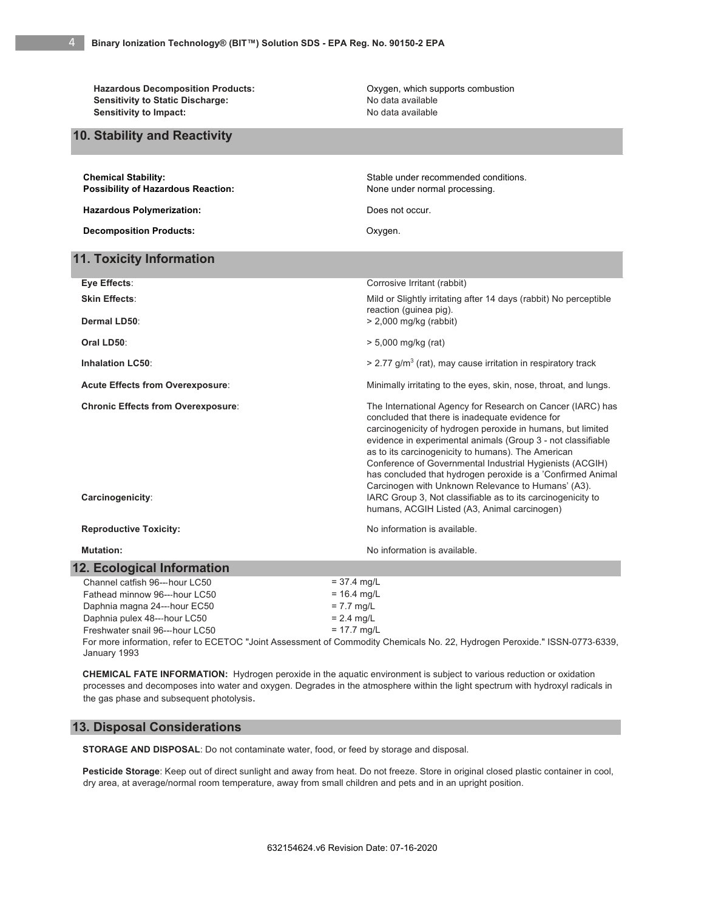Hazardous Decomposition Products: **Mazardous Decomposition Products:** Oxygen, which supports combustion Sensitivity to Static Discharge: No data available **Sensitivity to Impact:** No data available

**10. Stability and Reactivity**

| <b>Chemical Stability:</b>                                                                                                 | Stable under recommended conditions.                                                                                                                                                                                                                                                                                                                                                                                                                                                                                                               |  |  |  |  |  |  |
|----------------------------------------------------------------------------------------------------------------------------|----------------------------------------------------------------------------------------------------------------------------------------------------------------------------------------------------------------------------------------------------------------------------------------------------------------------------------------------------------------------------------------------------------------------------------------------------------------------------------------------------------------------------------------------------|--|--|--|--|--|--|
| <b>Possibility of Hazardous Reaction:</b>                                                                                  | None under normal processing.                                                                                                                                                                                                                                                                                                                                                                                                                                                                                                                      |  |  |  |  |  |  |
| <b>Hazardous Polymerization:</b>                                                                                           | Does not occur.                                                                                                                                                                                                                                                                                                                                                                                                                                                                                                                                    |  |  |  |  |  |  |
| <b>Decomposition Products:</b>                                                                                             | Oxygen.                                                                                                                                                                                                                                                                                                                                                                                                                                                                                                                                            |  |  |  |  |  |  |
| <b>11. Toxicity Information</b>                                                                                            |                                                                                                                                                                                                                                                                                                                                                                                                                                                                                                                                                    |  |  |  |  |  |  |
| Eye Effects:                                                                                                               | Corrosive Irritant (rabbit)                                                                                                                                                                                                                                                                                                                                                                                                                                                                                                                        |  |  |  |  |  |  |
| <b>Skin Effects:</b>                                                                                                       | Mild or Slightly irritating after 14 days (rabbit) No perceptible<br>reaction (guinea pig).                                                                                                                                                                                                                                                                                                                                                                                                                                                        |  |  |  |  |  |  |
| Dermal LD50:                                                                                                               | $> 2,000$ mg/kg (rabbit)                                                                                                                                                                                                                                                                                                                                                                                                                                                                                                                           |  |  |  |  |  |  |
| Oral LD50:                                                                                                                 | $> 5,000$ mg/kg (rat)                                                                                                                                                                                                                                                                                                                                                                                                                                                                                                                              |  |  |  |  |  |  |
| <b>Inhalation LC50:</b>                                                                                                    | $>$ 2.77 g/m <sup>3</sup> (rat), may cause irritation in respiratory track                                                                                                                                                                                                                                                                                                                                                                                                                                                                         |  |  |  |  |  |  |
| <b>Acute Effects from Overexposure:</b>                                                                                    | Minimally irritating to the eyes, skin, nose, throat, and lungs.                                                                                                                                                                                                                                                                                                                                                                                                                                                                                   |  |  |  |  |  |  |
| <b>Chronic Effects from Overexposure:</b><br>Carcinogenicity:                                                              | The International Agency for Research on Cancer (IARC) has<br>concluded that there is inadequate evidence for<br>carcinogenicity of hydrogen peroxide in humans, but limited<br>evidence in experimental animals (Group 3 - not classifiable<br>as to its carcinogenicity to humans). The American<br>Conference of Governmental Industrial Hygienists (ACGIH)<br>has concluded that hydrogen peroxide is a 'Confirmed Animal<br>Carcinogen with Unknown Relevance to Humans' (A3).<br>IARC Group 3, Not classifiable as to its carcinogenicity to |  |  |  |  |  |  |
|                                                                                                                            | humans, ACGIH Listed (A3, Animal carcinogen)                                                                                                                                                                                                                                                                                                                                                                                                                                                                                                       |  |  |  |  |  |  |
| <b>Reproductive Toxicity:</b>                                                                                              | No information is available.                                                                                                                                                                                                                                                                                                                                                                                                                                                                                                                       |  |  |  |  |  |  |
| <b>Mutation:</b>                                                                                                           | No information is available.                                                                                                                                                                                                                                                                                                                                                                                                                                                                                                                       |  |  |  |  |  |  |
| <b>12. Ecological Information</b>                                                                                          |                                                                                                                                                                                                                                                                                                                                                                                                                                                                                                                                                    |  |  |  |  |  |  |
| Channel catfish 96---hour LC50                                                                                             | $= 37.4$ mg/L                                                                                                                                                                                                                                                                                                                                                                                                                                                                                                                                      |  |  |  |  |  |  |
| Fathead minnow 96---hour LC50                                                                                              | $= 16.4$ mg/L                                                                                                                                                                                                                                                                                                                                                                                                                                                                                                                                      |  |  |  |  |  |  |
| Daphnia magna 24---hour EC50                                                                                               | $= 7.7$ mg/L                                                                                                                                                                                                                                                                                                                                                                                                                                                                                                                                       |  |  |  |  |  |  |
| Daphnia pulex 48---hour LC50                                                                                               | $= 2.4$ mg/L                                                                                                                                                                                                                                                                                                                                                                                                                                                                                                                                       |  |  |  |  |  |  |
| Freshwater snail 96---hour LC50                                                                                            | $= 17.7$ mg/L                                                                                                                                                                                                                                                                                                                                                                                                                                                                                                                                      |  |  |  |  |  |  |
| For more information, refer to ECETOC "Joint Assessment of Commodity Chemicals No. 22, Hydrogen Peroxide." ISSN-0773-6339, |                                                                                                                                                                                                                                                                                                                                                                                                                                                                                                                                                    |  |  |  |  |  |  |

January 1993

**CHEMICAL FATE INFORMATION:** Hydrogen peroxide in the aquatic environment is subject to various reduction or oxidation processes and decomposes into water and oxygen. Degrades in the atmosphere within the light spectrum with hydroxyl radicals in the gas phase and subsequent photolysis.

# **13. Disposal Considerations**

**STORAGE AND DISPOSAL**: Do not contaminate water, food, or feed by storage and disposal.

**Pesticide Storage**: Keep out of direct sunlight and away from heat. Do not freeze. Store in original closed plastic container in cool, dry area, at average/normal room temperature, away from small children and pets and in an upright position.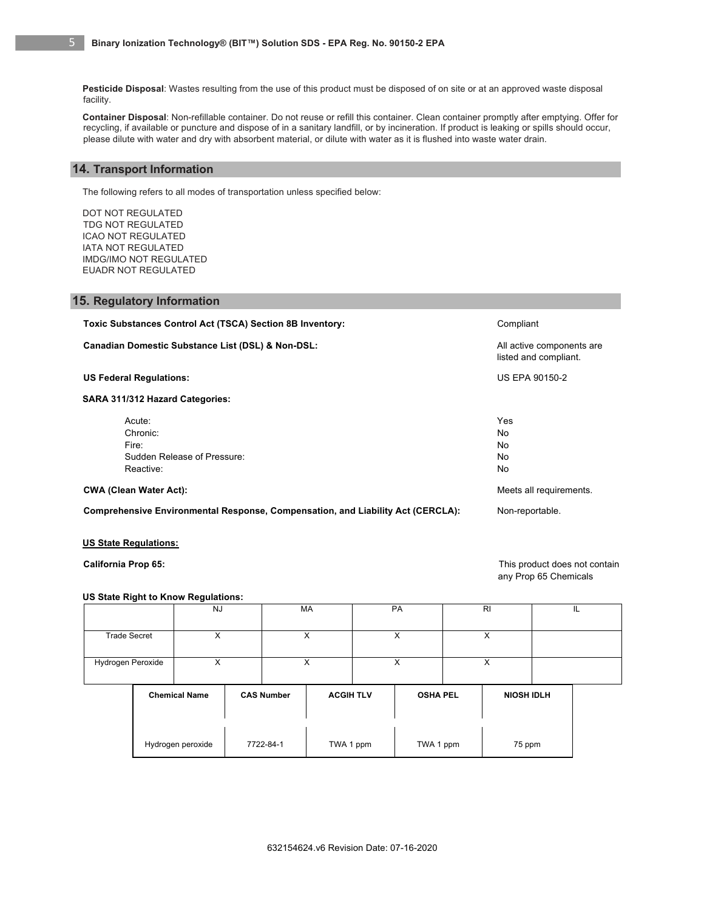**Pesticide Disposal**: Wastes resulting from the use of this product must be disposed of on site or at an approved waste disposal facility.

**Container Disposal**: Non-refillable container. Do not reuse or refill this container. Clean container promptly after emptying. Offer for recycling, if available or puncture and dispose of in a sanitary landfill, or by incineration. If product is leaking or spills should occur, please dilute with water and dry with absorbent material, or dilute with water as it is flushed into waste water drain.

# **14. Transport Information**

The following refers to all modes of transportation unless specified below:

DOT NOT REGULATED TDG NOT REGULATED ICAO NOT REGULATED IATA NOT REGULATED IMDG/IMO NOT REGULATED EUADR NOT REGULATED

# **15. Regulatory Information**

**Toxic Substances Control Act (TSCA) Section 8B Inventory:** Compliant Compliant **Canadian Domestic Substance List (DSL) & Non-DSL:** All active components are all active components are listed and compliant. **US Federal Regulations:** US EPA 90150-2 **SARA 311/312 Hazard Categories:**  Acute: The Second Contract of the Second Contract of the Second Contract of the Second Contract of the Second Contract of the Second Contract of the Second Contract of the Second Contract of the Second Contract of the Seco Chronic: No Fire: No Sudden Release of Pressure: No. 2006 No. 2007 No. 2008 No. 2008 No. 2009 No. 2008 No. 2009 No. 2009 No. 2009 No Reactive: No. 2006. The Second Second Second Second Second Second Second Second Second Second Second Second Se **CWA (Clean Water Act): CWA (Clean Water Act): Meets all requirements. Comprehensive Environmental Response, Compensation, and Liability Act (CERCLA):** Non-reportable.

## **US State Regulations:**

**California Prop 65:** This product does not contain any Prop 65 Chemicals

## **US State Right to Know Regulations:**

|                     | <b>NJ</b>            |   | <b>PA</b><br><b>MA</b> |                   |                  | R <sub>l</sub> |                 | IL |                   |  |  |
|---------------------|----------------------|---|------------------------|-------------------|------------------|----------------|-----------------|----|-------------------|--|--|
| <b>Trade Secret</b> |                      | X |                        | X                 |                  | X              |                 | X  |                   |  |  |
| Hydrogen Peroxide   |                      | X |                        |                   | X                |                | X               |    | X                 |  |  |
|                     | <b>Chemical Name</b> |   |                        | <b>CAS Number</b> | <b>ACGIH TLV</b> |                | <b>OSHA PEL</b> |    | <b>NIOSH IDLH</b> |  |  |
|                     | Hydrogen peroxide    |   |                        | 7722-84-1         | TWA 1 ppm        |                | TWA 1 ppm       |    | 75 ppm            |  |  |